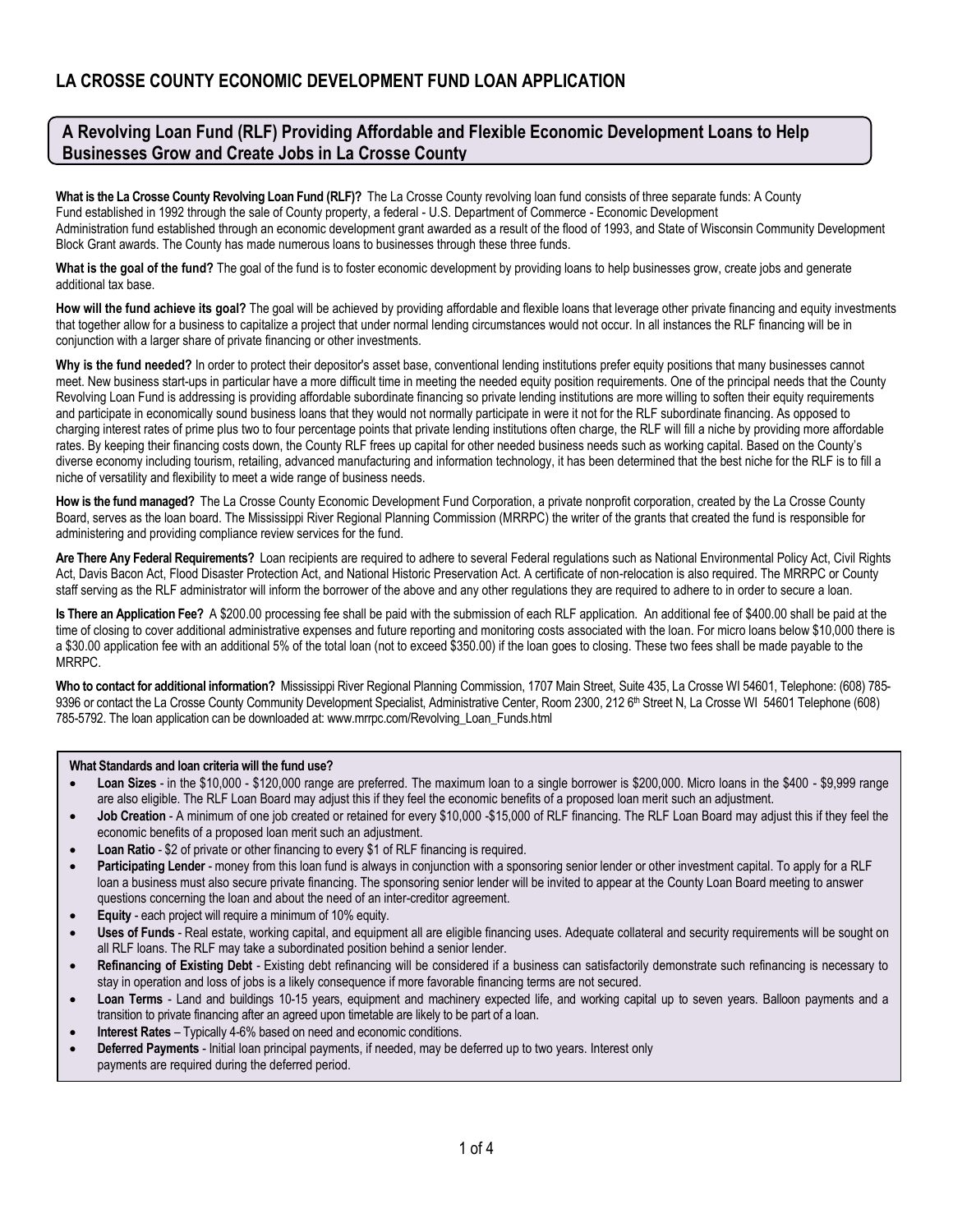## **A Revolving Loan Fund (RLF) Providing Affordable and Flexible Economic Development Loans to Help Businesses Grow and Create Jobs in La Crosse County**

**What is the La Crosse County Revolving Loan Fund (RLF)?** The La Crosse County revolving loan fund consists of three separate funds: A County Fund established in 1992 through the sale of County property, a federal - U.S. Department of Commerce - Economic Development Administration fund established through an economic development grant awarded as a result of the flood of 1993, and State of Wisconsin Community Development Block Grant awards. The County has made numerous loans to businesses through these three funds.

**What is the goal of the fund?** The goal of the fund is to foster economic development by providing loans to help businesses grow, create jobs and generate additional tax base.

**How will the fund achieve its goal?** The goal will be achieved by providing affordable and flexible loans that leverage other private financing and equity investments that together allow for a business to capitalize a project that under normal lending circumstances would not occur. In all instances the RLF financing will be in conjunction with a larger share of private financing or other investments.

Why is the fund needed? In order to protect their depositor's asset base, conventional lending institutions prefer equity positions that many businesses cannot meet. New business start-ups in particular have a more difficult time in meeting the needed equity position requirements. One of the principal needs that the County Revolving Loan Fund is addressing is providing affordable subordinate financing so private lending institutions are more willing to soften their equity requirements and participate in economically sound business loans that they would not normally participate in were it not for the RLF subordinate financing. As opposed to charging interest rates of prime plus two to four percentage points that private lending institutions often charge, the RLF will fill a niche by providing more affordable rates. By keeping their financing costs down, the County RLF frees up capital for other needed business needs such as working capital. Based on the County's diverse economy including tourism, retailing, advanced manufacturing and information technology, it has been determined that the best niche for the RLF is to fill a niche of versatility and flexibility to meet a wide range of business needs.

**How is the fund managed?** The La Crosse County Economic Development Fund Corporation, a private nonprofit corporation, created by the La Crosse County Board, serves as the loan board. The Mississippi River Regional Planning Commission (MRRPC) the writer of the grants that created the fund is responsible for administering and providing compliance review services for the fund.

**Are There Any Federal Requirements?** Loan recipients are required to adhere to several Federal regulations such as National Environmental Policy Act, Civil Rights Act, Davis Bacon Act, Flood Disaster Protection Act, and National Historic Preservation Act. A certificate of non-relocation is also required. The MRRPC or County staff serving as the RLF administrator will inform the borrower of the above and any other regulations they are required to adhere to in order to secure a loan.

**Is There an Application Fee?** A \$200.00 processing fee shall be paid with the submission of each RLF application. An additional fee of \$400.00 shall be paid at the time of closing to cover additional administrative expenses and future reporting and monitoring costs associated with the loan. For micro loans below \$10,000 there is a \$30.00 application fee with an additional 5% of the total loan (not to exceed \$350.00) if the loan goes to closing. These two fees shall be made payable to the MRRPC.

**Who to contact for additional information?** Mississippi River Regional Planning Commission, 1707 Main Street, Suite 435, La Crosse WI 54601, Telephone: (608) 785- 9396 or contact the La Crosse County Community Development Specialist, Administrative Center, Room 2300, 212 6<sup>th</sup> Street N, La Crosse WI 54601 Telephone (608) 785-5792. The loan application can be downloaded at: www.mrrpc.com/Revolving\_Loan\_Funds.html

#### **What Standards and loan criteria will the fund use?**

- Loan Sizes in the \$10,000 \$120,000 range are preferred. The maximum loan to a single borrower is \$200,000. Micro loans in the \$400 \$9,999 range are also eligible. The RLF Loan Board may adjust this if they feel the economic benefits of a proposed loan merit such an adjustment.
- Job Creation A minimum of one job created or retained for every \$10,000 -\$15,000 of RLF financing. The RLF Loan Board may adjust this if they feel the economic benefits of a proposed loan merit such an adjustment.
- **Loan Ratio** \$2 of private or other financing to every \$1 of RLF financing is required.
- Participating Lender money from this loan fund is always in conjunction with a sponsoring senior lender or other investment capital. To apply for a RLF loan a business must also secure private financing. The sponsoring senior lender will be invited to appear at the County Loan Board meeting to answer questions concerning the loan and about the need of an inter-creditor agreement.
- **Equity**  each project will require a minimum of 10% equity.
- **Uses of Funds** Real estate, working capital, and equipment all are eligible financing uses. Adequate collateral and security requirements will be sought on all RLF loans. The RLF may take a subordinated position behind a senior lender.
- **Refinancing of Existing Debt** Existing debt refinancing will be considered if a business can satisfactorily demonstrate such refinancing is necessary to stay in operation and loss of jobs is a likely consequence if more favorable financing terms are not secured.
- **Loan Terms** Land and buildings 10-15 years, equipment and machinery expected life, and working capital up to seven years. Balloon payments and a transition to private financing after an agreed upon timetable are likely to be part of a loan.
- **Interest Rates** Typically 4-6% based on need and economic conditions.
- **Deferred Payments** Initial loan principal payments, if needed, may be deferred up to two years. Interest only payments are required during the deferred period.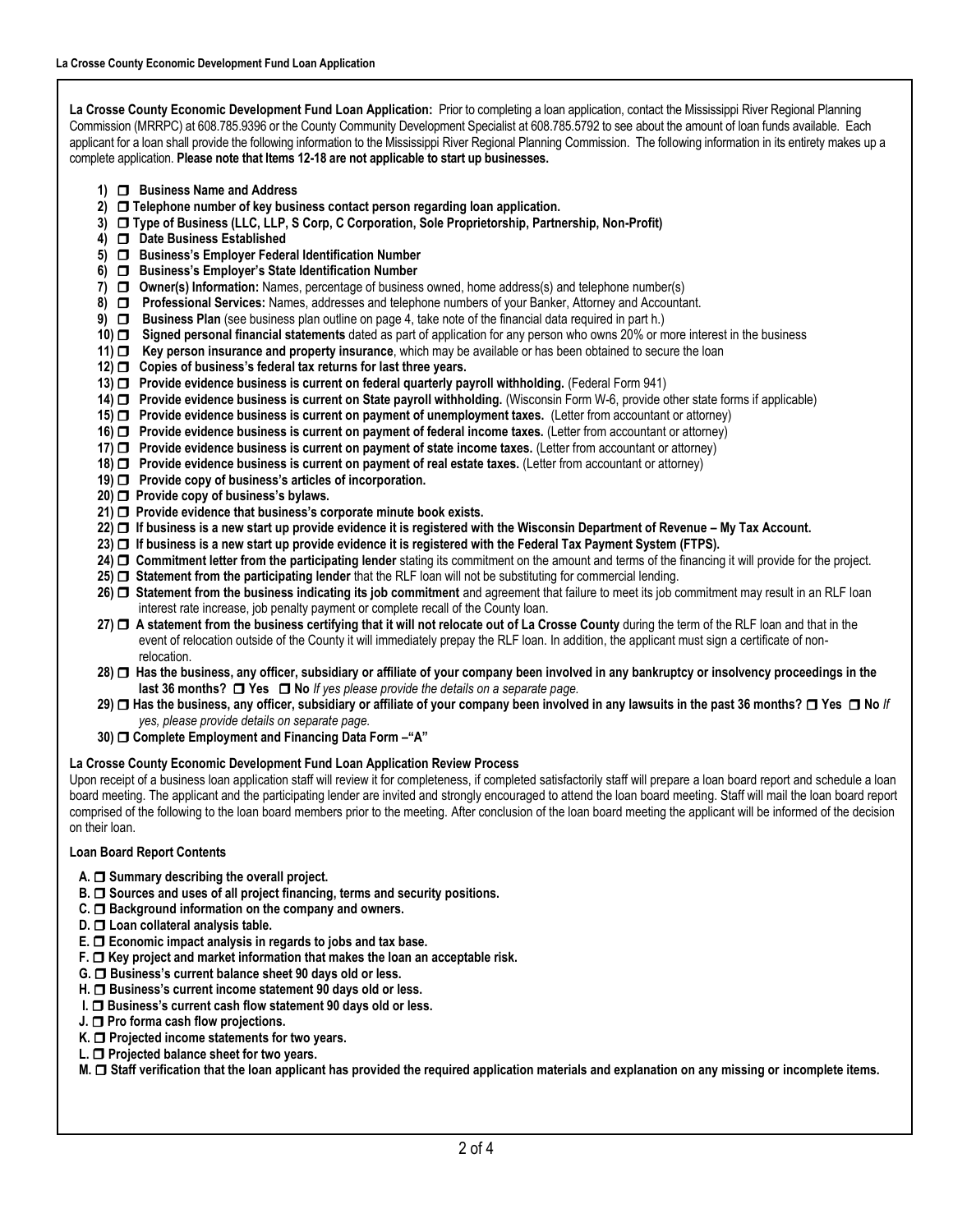**La Crosse County Economic Development Fund Loan Application:** Prior to completing a loan application, contact the Mississippi River Regional Planning Commission (MRRPC) at 608.785.9396 or the County Community Development Specialist at 608.785.5792 to see about the amount of loan funds available. Each applicant for a loan shall provide the following information to the Mississippi River Regional Planning Commission. The following information in its entirety makes up a complete application. **Please note that Items 12-18 are not applicable to start up businesses.** 

- **1) Business Name and Address**
- **2) Telephone number of key business contact person regarding loan application.**
- **3) Type of Business (LLC, LLP, S Corp, C Corporation, Sole Proprietorship, Partnership, Non-Profit)**
- **4) Date Business Established**
- **5) Business's Employer Federal Identification Number**
- **6) Business's Employer's State Identification Number**
- **7) □** Owner(s) Information: Names, percentage of business owned, home address(s) and telephone number(s)
- **8) Professional Services:** Names, addresses and telephone numbers of your Banker, Attorney and Accountant.
- **9) Business Plan** (see business plan outline on page 4, take note of the financial data required in part h.)
- **10) Signed personal financial statements** dated as part of application for any person who owns 20% or more interest in the business
- **11)** □ Key person insurance and property insurance, which may be available or has been obtained to secure the loan
- **12) Copies of business's federal tax returns for last three years.**
- **13)** □ Provide evidence business is current on federal quarterly payroll withholding. (Federal Form 941)
- **14)** □ Provide evidence business is current on State payroll withholding. (Wisconsin Form W-6, provide other state forms if applicable)
- **15) Provide evidence business is current on payment of unemployment taxes.** (Letter from accountant or attorney)
- **16)** □ Provide evidence business is current on payment of federal income taxes. (Letter from accountant or attorney)
- **17)** □ Provide evidence business is current on payment of state income taxes. (Letter from accountant or attorney)
- **18)** □ Provide evidence business is current on payment of real estate taxes. (Letter from accountant or attorney)
- **19)** □ Provide copy of business's articles of incorporation.
- **20) Provide copy of business's bylaws.**
- **21) Provide evidence that business's corporate minute book exists.**
- **22) If business is a new start up provide evidence it is registered with the Wisconsin Department of Revenue – My Tax Account.**
- **23) If business is a new start up provide evidence it is registered with the Federal Tax Payment System (FTPS).**
- **24)** □ Commitment letter from the participating lender stating its commitment on the amount and terms of the financing it will provide for the project.
- **25) □** Statement from the participating lender that the RLF loan will not be substituting for commercial lending.
- **26) Statement from the business indicating its job commitment** and agreement that failure to meet its job commitment may result in an RLF loan interest rate increase, job penalty payment or complete recall of the County loan.
- **27)** □ A statement from the business certifying that it will not relocate out of La Crosse County during the term of the RLF loan and that in the event of relocation outside of the County it will immediately prepay the RLF loan. In addition, the applicant must sign a certificate of non relocation.
- **28) Has the business, any officer, subsidiary or affiliate of your company been involved in any bankruptcy or insolvency proceedings in the last 36 months? □ Yes □ No** *If yes please provide the details on a separate page.*
- **29)** □ Has the business, any officer, subsidiary or affiliate of your company been involved in any lawsuits in the past 36 months? □ Yes □ No *lf* *yes, please provide details on separate page.*
- **30) Complete Employment and Financing Data Form –"A"**

### **La Crosse County Economic Development Fund Loan Application Review Process**

Upon receipt of a business loan application staff will review it for completeness, if completed satisfactorily staff will prepare a loan board report and schedule a loan board meeting. The applicant and the participating lender are invited and strongly encouraged to attend the loan board meeting. Staff will mail the loan board report comprised of the following to the loan board members prior to the meeting. After conclusion of the loan board meeting the applicant will be informed of the decision on their loan.

#### **Loan Board Report Contents**

- **A. Summary describing the overall project.**
- **B. □ Sources and uses of all project financing, terms and security positions.**
- **C. □ Background information on the company and owners.**
- **D. Loan collateral analysis table.**
- **E. □ Economic impact analysis in regards to jobs and tax base.**
- **F. □ Key project and market information that makes the loan an acceptable risk.**
- **G. Business's current balance sheet 90 days old or less.**
- **H.** □ Business's current income statement 90 days old or less.
- **I.** □ Business's current cash flow statement 90 days old or less.
- **J. Pro forma cash flow projections.**
- **K.** □ Projected income statements for two years.
- **L. Projected balance sheet for two years.**
- **M. Staff verification that the loan applicant has provided the required application materials and explanation on any missing or incomplete items.**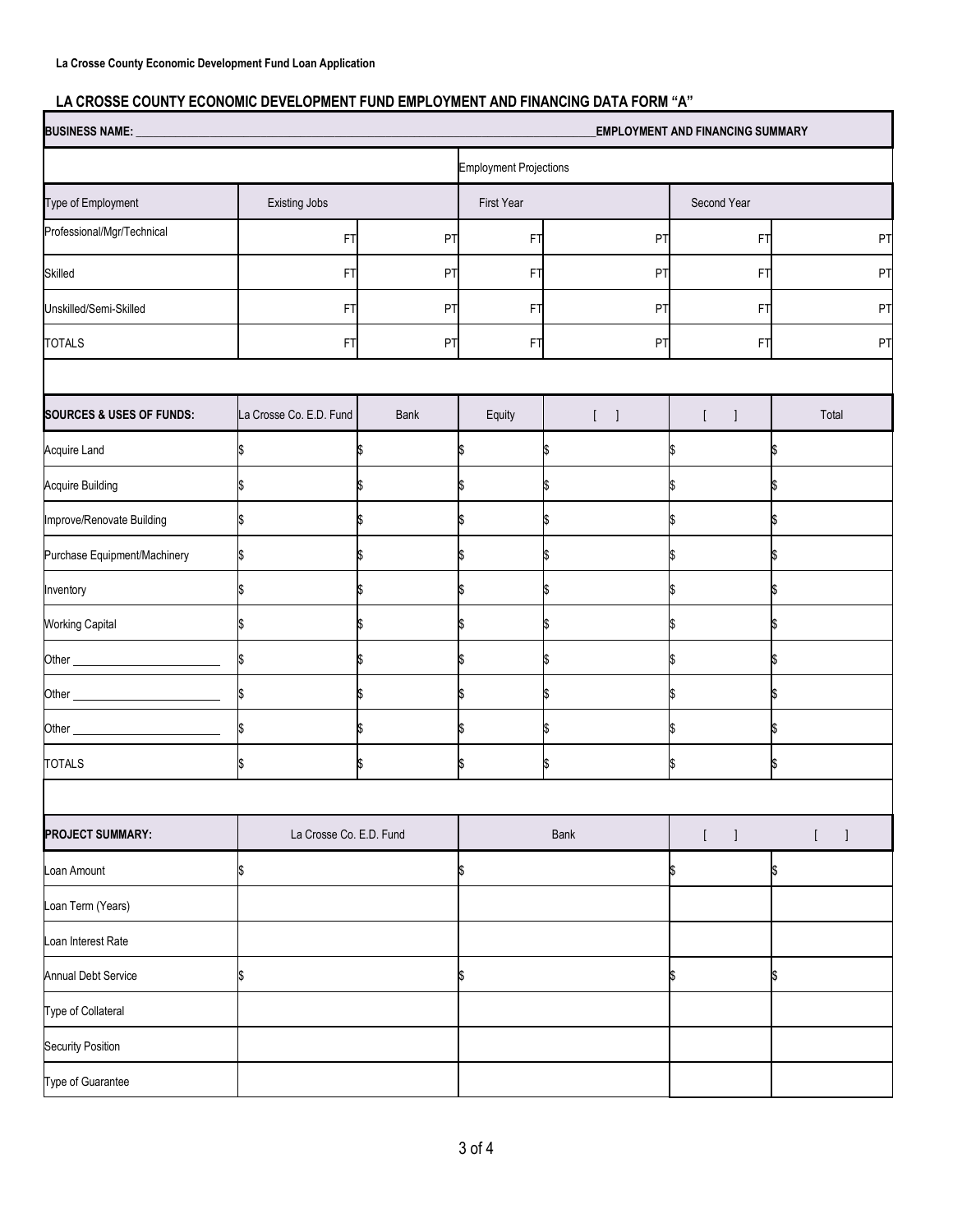# **LA CROSSE COUNTY ECONOMIC DEVELOPMENT FUND EMPLOYMENT AND FINANCING DATA FORM "A"**

| <b>BUSINESS NAME:</b><br><b>EMPLOYMENT AND FINANCING SUMMARY</b> |                         |      |                               |                                       |                     |                                          |
|------------------------------------------------------------------|-------------------------|------|-------------------------------|---------------------------------------|---------------------|------------------------------------------|
|                                                                  |                         |      | <b>Employment Projections</b> |                                       |                     |                                          |
| Type of Employment                                               | Existing Jobs           |      | First Year                    |                                       | Second Year         |                                          |
| Professional/Mgr/Technical                                       | FT                      | PT   | FT                            | PT                                    | FT                  | PT                                       |
| Skilled                                                          | FT                      | PT   | FT                            | PT                                    | FT                  | PT                                       |
| Unskilled/Semi-Skilled                                           | FT                      | PT   | FT                            | PT                                    | FT                  | PT                                       |
| <b>TOTALS</b>                                                    | FT                      | PT   | FT                            | PT                                    | FT                  | PT                                       |
|                                                                  |                         |      |                               |                                       |                     |                                          |
| <b>SOURCES &amp; USES OF FUNDS:</b>                              | La Crosse Co. E.D. Fund | Bank | Equity                        | $\begin{bmatrix} 1 & 1 \end{bmatrix}$ | $\mathbf{I}$<br>- 1 | Total                                    |
| Acquire Land                                                     | ß.                      |      |                               | \$                                    | \$                  |                                          |
| <b>Acquire Building</b>                                          | ß.                      |      |                               | S                                     |                     |                                          |
| Improve/Renovate Building                                        |                         |      |                               | S                                     | S                   |                                          |
| Purchase Equipment/Machinery                                     |                         |      |                               | S                                     |                     |                                          |
| Inventory                                                        | ß.                      |      | I\$                           | \$                                    | S                   |                                          |
| <b>Working Capital</b>                                           | S                       |      | I\$                           | \$                                    | S                   |                                          |
|                                                                  | \$                      |      |                               | S                                     |                     |                                          |
|                                                                  | \$                      |      |                               | \$                                    | S                   |                                          |
|                                                                  | \$                      |      |                               | \$                                    |                     |                                          |
| <b>TOTALS</b>                                                    | \$                      |      | \$                            | \$                                    | \$                  |                                          |
|                                                                  |                         |      |                               |                                       |                     |                                          |
| <b>PROJECT SUMMARY:</b>                                          | La Crosse Co. E.D. Fund |      |                               | <b>Bank</b>                           | $[$ $]$             | $\overline{\phantom{a}}$<br>$\mathbf{r}$ |
| Loan Amount                                                      | 1\$                     |      |                               | \$<br>S                               |                     |                                          |
| Loan Term (Years)                                                |                         |      |                               |                                       |                     |                                          |
| Loan Interest Rate                                               |                         |      |                               |                                       |                     |                                          |
| <b>Annual Debt Service</b>                                       | \$                      |      |                               | \$                                    |                     |                                          |
| Type of Collateral                                               |                         |      |                               |                                       |                     |                                          |
| Security Position                                                |                         |      |                               |                                       |                     |                                          |
| Type of Guarantee                                                |                         |      |                               |                                       |                     |                                          |